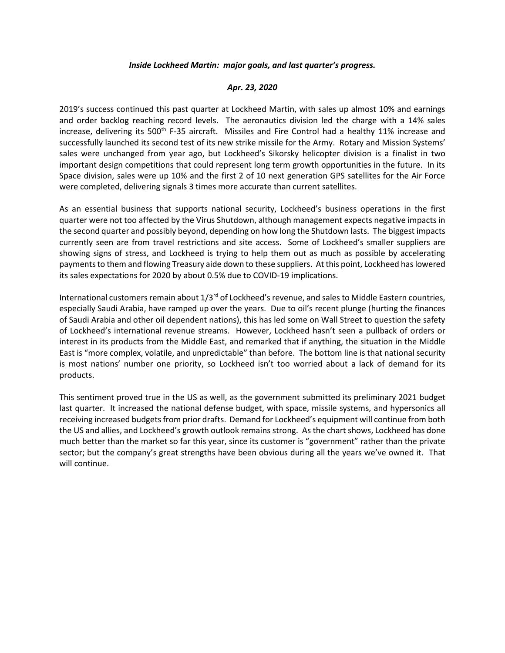## *Inside Lockheed Martin: major goals, and last quarter's progress.*

## *Apr. 23, 2020*

2019's success continued this past quarter at Lockheed Martin, with sales up almost 10% and earnings and order backlog reaching record levels. The aeronautics division led the charge with a 14% sales increase, delivering its 500<sup>th</sup> F-35 aircraft. Missiles and Fire Control had a healthy 11% increase and successfully launched its second test of its new strike missile for the Army. Rotary and Mission Systems' sales were unchanged from year ago, but Lockheed's Sikorsky helicopter division is a finalist in two important design competitions that could represent long term growth opportunities in the future. In its Space division, sales were up 10% and the first 2 of 10 next generation GPS satellites for the Air Force were completed, delivering signals 3 times more accurate than current satellites.

As an essential business that supports national security, Lockheed's business operations in the first quarter were not too affected by the Virus Shutdown, although management expects negative impacts in the second quarter and possibly beyond, depending on how long the Shutdown lasts. The biggest impacts currently seen are from travel restrictions and site access. Some of Lockheed's smaller suppliers are showing signs of stress, and Lockheed is trying to help them out as much as possible by accelerating payments to them and flowing Treasury aide down to these suppliers. At this point, Lockheed has lowered its sales expectations for 2020 by about 0.5% due to COVID-19 implications.

International customers remain about  $1/3^{rd}$  of Lockheed's revenue, and sales to Middle Eastern countries, especially Saudi Arabia, have ramped up over the years. Due to oil's recent plunge (hurting the finances of Saudi Arabia and other oil dependent nations), this has led some on Wall Street to question the safety of Lockheed's international revenue streams. However, Lockheed hasn't seen a pullback of orders or interest in its products from the Middle East, and remarked that if anything, the situation in the Middle East is "more complex, volatile, and unpredictable" than before. The bottom line is that national security is most nations' number one priority, so Lockheed isn't too worried about a lack of demand for its products.

This sentiment proved true in the US as well, as the government submitted its preliminary 2021 budget last quarter. It increased the national defense budget, with space, missile systems, and hypersonics all receiving increased budgets from prior drafts. Demand for Lockheed's equipment will continue from both the US and allies, and Lockheed's growth outlook remains strong. As the chart shows, Lockheed has done much better than the market so far this year, since its customer is "government" rather than the private sector; but the company's great strengths have been obvious during all the years we've owned it. That will continue.